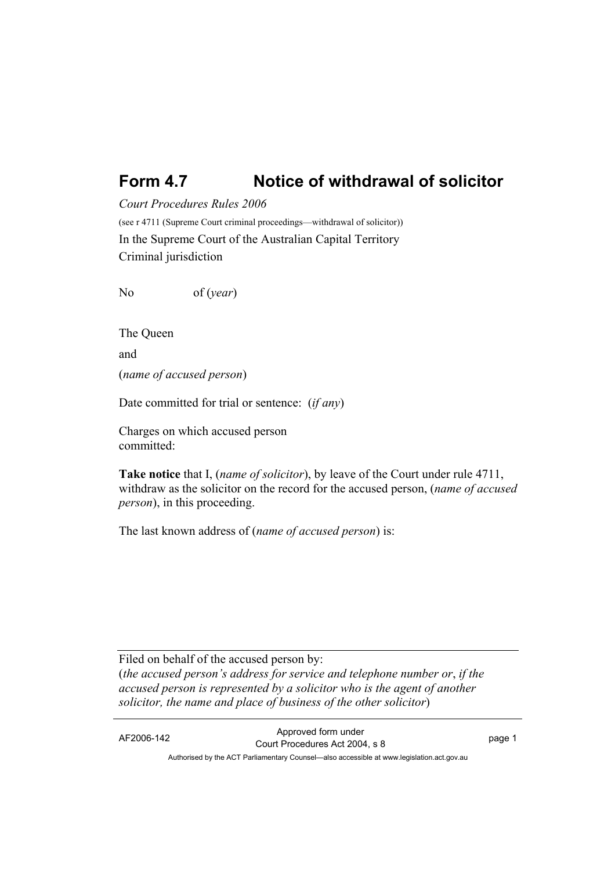## **Form 4.7 Notice of withdrawal of solicitor**

*Court Procedures Rules 2006*

(see r 4711 (Supreme Court criminal proceedings—withdrawal of solicitor)) In the Supreme Court of the Australian Capital Territory Criminal jurisdiction

No of (*year*)

The Queen and (*name of accused person*)

Date committed for trial or sentence: (*if any*)

Charges on which accused person committed:

**Take notice** that I, (*name of solicitor*), by leave of the Court under rule 4711, withdraw as the solicitor on the record for the accused person, (*name of accused person*), in this proceeding.

The last known address of (*name of accused person*) is:

Filed on behalf of the accused person by: (*the accused person's address for service and telephone number or*, *if the accused person is represented by a solicitor who is the agent of another solicitor, the name and place of business of the other solicitor*)

AF2006-142 Approved form under Court Procedures Act 2004, s 8 page 1 Authorised by the ACT Parliamentary Counsel—also accessible at www.legislation.act.gov.au